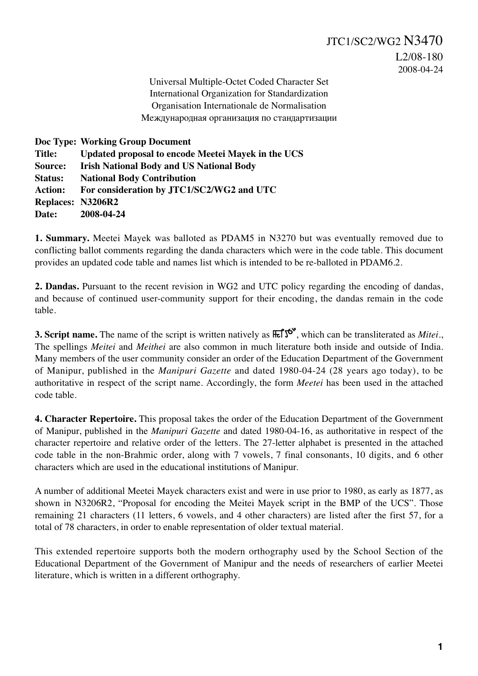Universal Multiple-Octet Coded Character Set International Organization for Standardization Organisation Internationale de Normalisation Международная организация по стандартизации

**Doc Type: Working Group Document Title: Updated proposal to encode Meetei Mayek in the UCS Source: Irish National Body and US National Body Status: National Body Contribution Action: For consideration by JTC1/SC2/WG2 and UTC Replaces: N3206R2 Date: 2008-04-24**

**1. Summary.** Meetei Mayek was balloted as PDAM5 in N3270 but was eventually removed due to conflicting ballot comments regarding the danda characters which were in the code table. This document provides an updated code table and names list which is intended to be re-balloted in PDAM6.2.

**2. Dandas.** Pursuant to the recent revision in WG2 and UTC policy regarding the encoding of dandas, and because of continued user-community support for their encoding, the dandas remain in the code table.

**3. Script name.** The name of the script is written natively as  $\mathbb{R} \mathbb{S}^{\mathfrak{S}^{\mathfrak{S}}}$ , which can be transliterated as *Mitei.*, The spellings *Meitei* and *Meithei* are also common in much literature both inside and outside of India. Many members of the user community consider an order of the Education Department of the Government of Manipur, published in the *Manipuri Gazette* and dated 1980-04-24 (28 years ago today), to be authoritative in respect of the script name. Accordingly, the form *Meetei* has been used in the attached code table.

**4. Character Repertoire.** This proposal takes the order of the Education Department of the Government of Manipur, published in the *Manipuri Gazette* and dated 1980-04-16, as authoritative in respect of the character repertoire and relative order of the letters. The 27-letter alphabet is presented in the attached code table in the non-Brahmic order, along with 7 vowels, 7 final consonants, 10 digits, and 6 other characters which are used in the educational institutions of Manipur.

A number of additional Meetei Mayek characters exist and were in use prior to 1980, as early as 1877, as shown in N3206R2, "Proposal for encoding the Meitei Mayek script in the BMP of the UCS". Those remaining 21 characters (11 letters, 6 vowels, and 4 other characters) are listed after the first 57, for a total of 78 characters, in order to enable representation of older textual material.

This extended repertoire supports both the modern orthography used by the School Section of the Educational Department of the Government of Manipur and the needs of researchers of earlier Meetei literature, which is written in a different orthography.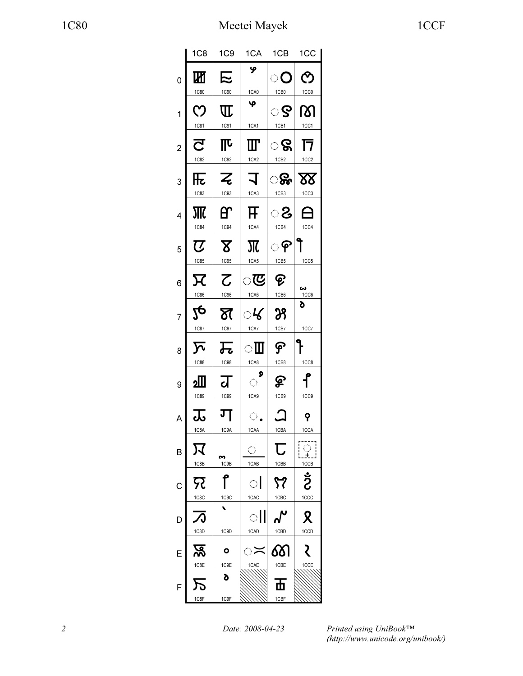|                | 1C <sub>8</sub>                           | 1C9                           | 1CA                              | 1CB                      | 1CC                                          |
|----------------|-------------------------------------------|-------------------------------|----------------------------------|--------------------------|----------------------------------------------|
| $\overline{0}$ | Ш                                         | 尼                             | ዏ                                | ං                        | $\mathcal{O}$                                |
|                | <b>1C80</b>                               | 1C90                          | 1CA0                             | 1CB <sub>0</sub>         | 1CC <sub>0</sub>                             |
| 1              | ဣ                                         | $\mathrm{I\!I}$               | φ                                | ୍ତ ତ                     | ത്ര                                          |
|                | 1C81                                      | 1C91                          | 1CA1                             | 1CB1                     | 1CC1                                         |
| $\overline{c}$ | $\overline{\mathbf{C}}$                   | 邒                             | $\mathbf I\mathbf I$             | ୍ତ ବ୍ଜା                  | 17                                           |
|                | 1C82                                      | 1C92                          | 1CA2                             | 1CB <sub>2</sub>         | 1CC <sub>2</sub>                             |
| 3              | 兏<br><b>1C83</b>                          | $\overline{z}$<br><b>1C93</b> | $\overline{\mathcal{L}}$<br>1CA3 | ୍ଥିତ<br>1CB <sub>3</sub> | $\underline{\mathbf{X}}$<br>1CC <sub>3</sub> |
|                |                                           |                               |                                  |                          |                                              |
| 4              | 1C84                                      | ̃<br>1C94                     | F<br>1CA4                        | ිරි<br>1CB4              | $\boldsymbol{\Theta}$<br>1CC4                |
|                |                                           |                               |                                  |                          |                                              |
| 5              | $\boldsymbol{\mathcal{U}}$<br><b>1C85</b> | $\mathbf{X}$<br>1C95          | Ж<br>1CA5                        | ႜ<br>1CB5                | 1CC5                                         |
|                |                                           |                               |                                  |                          |                                              |
| 6              | $\boldsymbol{\nabla}$                     | $\overline{\mathcal{C}}$      | <u>ැ</u>                         | ଡ଼                       |                                              |
|                | 1C86                                      | 1C96                          | 1CA6                             | 1CB6                     | ພ<br>1CC6                                    |
| $\overline{7}$ | $2\mathbf{e}$                             | স্ত                           | ୍ୟ⁄                              | 29                       | d                                            |
|                | 1C87                                      | $1C97$                        | 1CA7                             | 1CB7                     | 1C <sub>C</sub>                              |
| 8              | $\overline{\mathcal{N}}$                  | 元                             | ाा                               | ငှ                       |                                              |
|                | <b>1C88</b>                               | <b>1C98</b>                   | 1CA8                             | 1CB8                     | 1CC8                                         |
| 9              | չ∭                                        | ग्र                           | $\circ$                          | ହ                        | $\mathbf f$                                  |
|                | <b>1C89</b>                               | 1C99                          | 1CA9                             | 1CB9                     | 1CC <sub>9</sub>                             |
| A              | $\overline{\mathbf{r}}$                   | ग                             | $\bigcirc$ .                     | $\bm{\mathsf{\Omega}}$   | <b>P</b>                                     |
|                | 1C8A                                      | 1C9A                          | 1CAA                             | 1CBA                     | 1CCA                                         |
| B              | 又                                         | m                             | $\langle \cdot \rangle$          | U                        | $\overline{\mathcal{X}}$                     |
|                | 1C8B                                      | 1C9B                          | 1CAB                             | 1CBB                     | 1CCB                                         |
| С              | द्र                                       | ↑                             | $\bigcirc$                       | 57                       | ဦ                                            |
|                | 1C8C                                      | 1C9C                          | 1CAC                             | 1CBC                     | 1CCC                                         |
| D              |                                           |                               | $\mathcal{L}_{\mathcal{A}}$      |                          | Ջ                                            |
|                | 1C8D                                      | 1C9D                          | 1CAD                             | 1CBD                     | 1CCD                                         |
| E              | <u>प्रू</u>                               | ο                             | ं >                              | 6δ                       |                                              |
|                | 1C8E                                      | 1C9E                          | 1CAE                             | 1CBE                     | 1CCE                                         |
| F              | た                                         | δ                             |                                  | 西                        |                                              |
|                | 1C8F                                      | 1C9F                          |                                  | 1CBF                     |                                              |

Printed using UniBook™ (http://www.unicode.org/unibook/)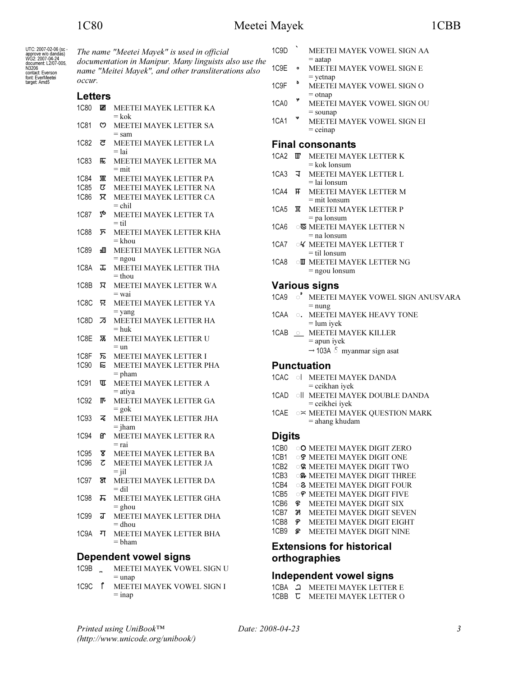UTC: 2007-02-06 (sc.<br>approve w/o dandas)<br>WG2: 2007-04-24

document: L2/07-005,<br>N3206

rvazuo<br>contact: Everson<br>font: EverMeetei

target: Amd5

The name "Meetei Mayek" is used in official documentation in Manipur. Many linguists also use the name "Meitei Mayek", and other transliterations also occur.

# $\mathbf{r}$

| <b>Letters</b>    |     |                                     |  |  |  |
|-------------------|-----|-------------------------------------|--|--|--|
| 1C80              | ℼ   | MEETEI MAYEK LETTER KA<br>= kok     |  |  |  |
| 1C81              | ෆ   | MEETEI MAYEK LETTER SA<br>$=$ sam   |  |  |  |
| 1C82              | ਟ   | MEETEI MAYEK LETTER LA<br>= lai     |  |  |  |
| 1C83              | 兏   | MEETEI MAYEK LETTER MA<br>$=$ mit   |  |  |  |
| 1C84              |     | MEETEI MAYEK LETTER PA              |  |  |  |
| <b>1C85</b>       | ए   | MEETEI MAYEK LETTER NA              |  |  |  |
| <b>1C86</b>       | π   | MEETEI MAYEK LETTER CA<br>= chil    |  |  |  |
| 1C87              | 20  | MEETEI MAYEK LETTER TA<br>= til     |  |  |  |
| <b>1C88</b>       | ᠌   | MEETEI MAYEK LETTER KHA<br>= khou   |  |  |  |
| 1C89              | ءШ  | MEETEI MAYEK LETTER NGA<br>$=$ ngou |  |  |  |
| 1C8A              | ᠼ   | MEETEI MAYEK LETTER THA<br>$=$ thou |  |  |  |
| 1C8B              | ᠷ   | MEETEI MAYEK LETTER WA<br>= wai     |  |  |  |
| 1C8C              | न्र | MEETEI MAYEK LETTER YA<br>= yang    |  |  |  |
| 1C8D              | ℬ   | MEETEI MAYEK LETTER HA<br>= huk     |  |  |  |
| 1C8E              | ভ্ল | MEETEI MAYEK LETTER U<br>$=$ un     |  |  |  |
| 1C8F              | ᠷ   | MEETEI MAYEK LETTER I               |  |  |  |
| <b>1C90</b>       | Е   | MEETEI MAYEK LETTER PHA<br>$=$ pham |  |  |  |
| 1C91              | ℼ   | MEETEI MAYEK LETTER A<br>$=$ atiya  |  |  |  |
| 1C92              | ℼ   | MEETEI MAYEK LETTER GA<br>$=$ gok   |  |  |  |
| <b>1C93</b>       | z   | MEETEI MAYEK LETTER JHA<br>= jham   |  |  |  |
| <b>1C94</b>       | œ۲  | MEETEI MAYEK LETTER RA<br>= rai     |  |  |  |
| 1C <sub>95</sub>  | স্ত | MEETEI MAYEK LETTER BA              |  |  |  |
| 1C96              | ट   | MEETEI MAYEK LETTER JA<br>$=$ jil   |  |  |  |
| 1C97              | স   | MEETEI MAYEK LETTER DA<br>$=$ dil   |  |  |  |
| <b>1C98</b>       | ᠼ   | MEETEI MAYEK LETTER GHA<br>$=$ ghou |  |  |  |
| 1C99              | ग्र | MEETEI MAYEK LETTER DHA<br>$=$ dhou |  |  |  |
| 1C <sub>9</sub> A | ग   | MEETEI MAYEK LETTER BHA<br>= bham   |  |  |  |

### **Dependent vowel signs**

- $1C9B$ MEETEI MAYEK VOWEL SIGN U  $=$  unap
- 1C9C f MEETEI MAYEK VOWEL SIGN I  $=$  inap
- $1C9D$ MEETEI MAYEK VOWEL SIGN AA  $=$  aatap
- 1C9E MEETEI MAYEK VOWEL SIGN E  $\bullet$  $=$  vetnap
- $\delta$ 1C<sub>9F</sub> MEETEI MAYEK VOWEL SIGN O  $=$  otnap
- 1CA0 MEETEI MAYEK VOWEL SIGN OU  $=$ sounap
- 1CA1 MEETEI MAYEK VOWEL SIGN EI  $=$  ceinap

#### **Final consonants**

- 1CA2 T MEETEI MAYEK LETTER K  $=$  kok lonsum
- 1CA3 J MEETEI MAYEK LETTER L  $=$ lai lonsum
- 1CA4 **F** MEETEI MAYEK LETTER M  $=$  mit lonsum
- 1CA5 **M** MEETEI MAYEK LETTER P  $=$  pa lonsum
- 1CA6 **E MEETEI MAYEK LETTER N**  $=$  na lonsum
- 1CA7 OK MEETEI MAYEK LETTER T  $=$  til lonsum
- 1CA8 OU MEETEI MAYEK LETTER NG  $=$  ngou lonsum

# **Various signs**

- 1CA9 ° MEETEI MAYEK VOWEL SIGN ANUSVARA  $=$  nung
- 1CAA o. MEETEI MAYEK HEAVY TONE  $=$  lum iyek
- 1CAB \_\_ MEETEI MAYEK KILLER  $=$  apun iyek  $\rightarrow$  103A  $\,$  myanmar sign as<br>at

#### **Punctuation**

- 1CAC O MEETEI MAYEK DANDA = ceikhan iyek
- 1CAD OIL MEETEI MAYEK DOUBLE DANDA = ceikhei iyek
- 1CAE  $\circ \asymp$  MEETEI MAYEK QUESTION MARK  $=$  ahang khudam

### **Digits**

- 1CB0 O MEETEI MAYEK DIGIT ZERO
- 1CB1 OS MEETEI MAYEK DIGIT ONE
- 1CB2 S MEETEI MAYEK DIGIT TWO
- 1CB3 G& MEETEI MAYEK DIGIT THREE
- 1CB4 **8 MEETEI MAYEK DIGIT FOUR**
- 1CB5 OP MEETEI MAYEK DIGIT FIVE
- 1CB6 & MEETEI MAYEK DIGIT SIX 1CB7 38 MEETEI MAYEK DIGIT SEVEN
- 1CB8 ም MEETEI MAYEK DIGIT EIGHT
- 1CB9 *ହ* MEETEI MAYEK DIGIT NINE

# **Extensions for historical** orthographies

# Independent vowel signs

1CBA <sup>2</sup> MEETEI MAYEK LETTER E 1CBB **C** MEETEI MAYEK LETTER O